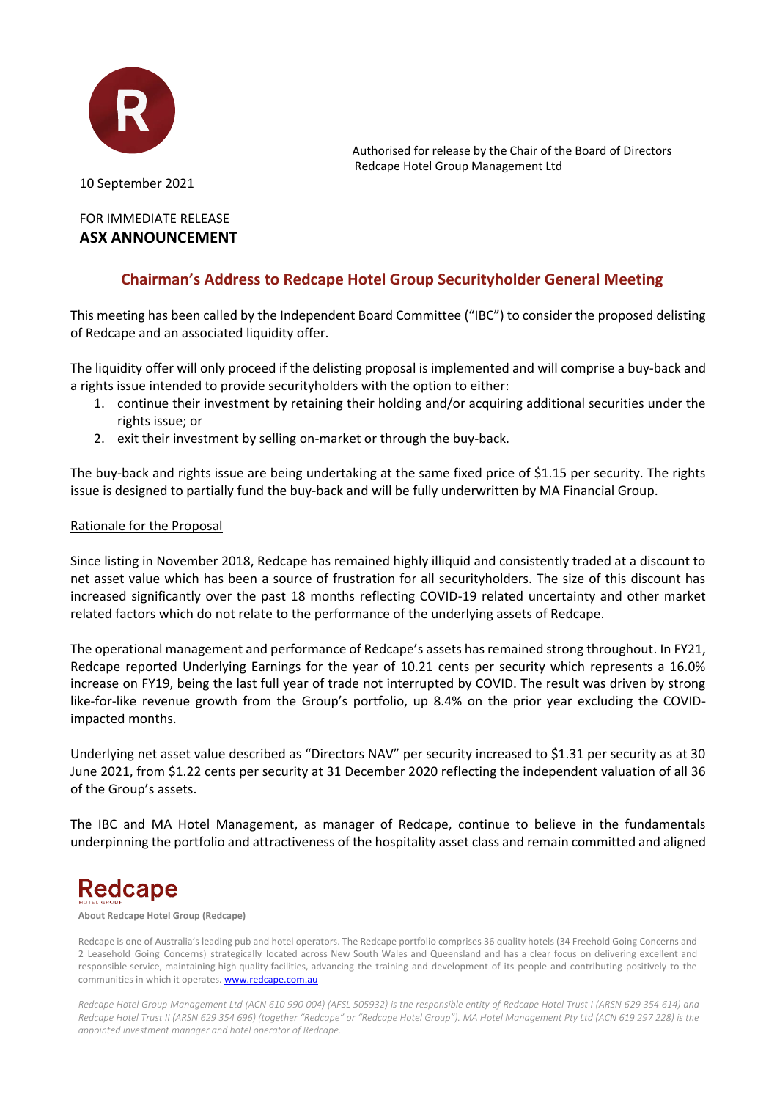

Authorised for release by the Chair of the Board of Directors Redcape Hotel Group Management Ltd

10 September 2021

### FOR IMMEDIATE RELEASE **ASX ANNOUNCEMENT**

### **Chairman's Address to Redcape Hotel Group Securityholder General Meeting**

This meeting has been called by the Independent Board Committee ("IBC") to consider the proposed delisting of Redcape and an associated liquidity offer.

The liquidity offer will only proceed if the delisting proposal is implemented and will comprise a buy-back and a rights issue intended to provide securityholders with the option to either:

- 1. continue their investment by retaining their holding and/or acquiring additional securities under the rights issue; or
- 2. exit their investment by selling on-market or through the buy-back.

The buy-back and rights issue are being undertaking at the same fixed price of \$1.15 per security. The rights issue is designed to partially fund the buy-back and will be fully underwritten by MA Financial Group.

### Rationale for the Proposal

Since listing in November 2018, Redcape has remained highly illiquid and consistently traded at a discount to net asset value which has been a source of frustration for all securityholders. The size of this discount has increased significantly over the past 18 months reflecting COVID-19 related uncertainty and other market related factors which do not relate to the performance of the underlying assets of Redcape.

The operational management and performance of Redcape's assets has remained strong throughout. In FY21, Redcape reported Underlying Earnings for the year of 10.21 cents per security which represents a 16.0% increase on FY19, being the last full year of trade not interrupted by COVID. The result was driven by strong like-for-like revenue growth from the Group's portfolio, up 8.4% on the prior year excluding the COVIDimpacted months.

Underlying net asset value described as "Directors NAV" per security increased to \$1.31 per security as at 30 June 2021, from \$1.22 cents per security at 31 December 2020 reflecting the independent valuation of all 36 of the Group's assets.

The IBC and MA Hotel Management, as manager of Redcape, continue to believe in the fundamentals underpinning the portfolio and attractiveness of the hospitality asset class and remain committed and aligned

# **Redcape**

**About Redcape Hotel Group (Redcape)**

Redcape is one of Australia's leading pub and hotel operators. The Redcape portfolio comprises 36 quality hotels (34 Freehold Going Concerns and 2 Leasehold Going Concerns) strategically located across New South Wales and Queensland and has a clear focus on delivering excellent and responsible service, maintaining high quality facilities, advancing the training and development of its people and contributing positively to the communities in which it operates[. www.redcape.com.au](http://www.redcape.com.au/)

*Redcape Hotel Group Management Ltd (ACN 610 990 004) (AFSL 505932) is the responsible entity of Redcape Hotel Trust I (ARSN 629 354 614) and Redcape Hotel Trust II (ARSN 629 354 696) (together "Redcape" or "Redcape Hotel Group"). MA Hotel Management Pty Ltd (ACN 619 297 228) is the appointed investment manager and hotel operator of Redcape.*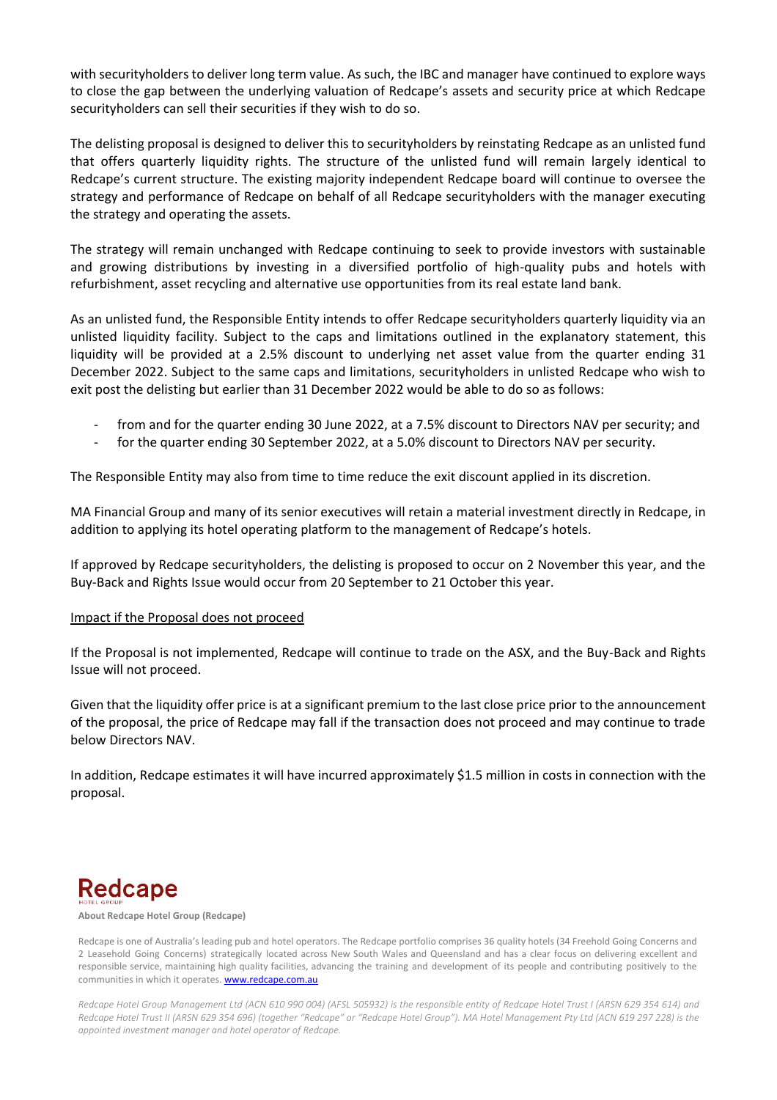with securityholders to deliver long term value. As such, the IBC and manager have continued to explore ways to close the gap between the underlying valuation of Redcape's assets and security price at which Redcape securityholders can sell their securities if they wish to do so.

The delisting proposal is designed to deliver this to securityholders by reinstating Redcape as an unlisted fund that offers quarterly liquidity rights. The structure of the unlisted fund will remain largely identical to Redcape's current structure. The existing majority independent Redcape board will continue to oversee the strategy and performance of Redcape on behalf of all Redcape securityholders with the manager executing the strategy and operating the assets.

The strategy will remain unchanged with Redcape continuing to seek to provide investors with sustainable and growing distributions by investing in a diversified portfolio of high-quality pubs and hotels with refurbishment, asset recycling and alternative use opportunities from its real estate land bank.

As an unlisted fund, the Responsible Entity intends to offer Redcape securityholders quarterly liquidity via an unlisted liquidity facility. Subject to the caps and limitations outlined in the explanatory statement, this liquidity will be provided at a 2.5% discount to underlying net asset value from the quarter ending 31 December 2022. Subject to the same caps and limitations, securityholders in unlisted Redcape who wish to exit post the delisting but earlier than 31 December 2022 would be able to do so as follows:

- from and for the quarter ending 30 June 2022, at a 7.5% discount to Directors NAV per security; and
- for the quarter ending 30 September 2022, at a 5.0% discount to Directors NAV per security.

The Responsible Entity may also from time to time reduce the exit discount applied in its discretion.

MA Financial Group and many of its senior executives will retain a material investment directly in Redcape, in addition to applying its hotel operating platform to the management of Redcape's hotels.

If approved by Redcape securityholders, the delisting is proposed to occur on 2 November this year, and the Buy-Back and Rights Issue would occur from 20 September to 21 October this year.

#### Impact if the Proposal does not proceed

If the Proposal is not implemented, Redcape will continue to trade on the ASX, and the Buy-Back and Rights Issue will not proceed.

Given that the liquidity offer price is at a significant premium to the last close price prior to the announcement of the proposal, the price of Redcape may fall if the transaction does not proceed and may continue to trade below Directors NAV.

In addition, Redcape estimates it will have incurred approximately \$1.5 million in costs in connection with the proposal.

## **Redcape**

#### **About Redcape Hotel Group (Redcape)**

Redcape is one of Australia's leading pub and hotel operators. The Redcape portfolio comprises 36 quality hotels (34 Freehold Going Concerns and 2 Leasehold Going Concerns) strategically located across New South Wales and Queensland and has a clear focus on delivering excellent and responsible service, maintaining high quality facilities, advancing the training and development of its people and contributing positively to the communities in which it operates[. www.redcape.com.au](http://www.redcape.com.au/)

*Redcape Hotel Group Management Ltd (ACN 610 990 004) (AFSL 505932) is the responsible entity of Redcape Hotel Trust I (ARSN 629 354 614) and Redcape Hotel Trust II (ARSN 629 354 696) (together "Redcape" or "Redcape Hotel Group"). MA Hotel Management Pty Ltd (ACN 619 297 228) is the appointed investment manager and hotel operator of Redcape.*